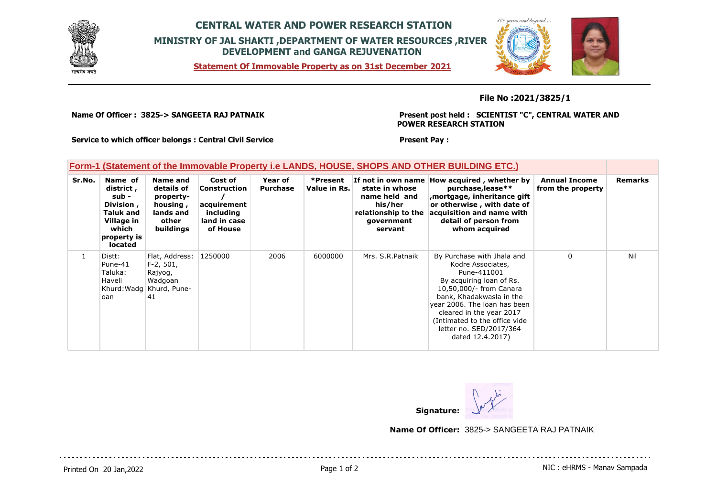

## **CENTRAL WATER AND POWER RESEARCH STATION MINISTRY OF JAL SHAKTI ,DEPARTMENT OF WATER RESOURCES ,RIVER DEVELOPMENT and GANGA REJUVENATION**

**Statement Of Immovable Property as on 31st December 2021**



## **File No :2021/3825/1**

**Name Of Officer : 3825-> SANGEETA RAJ PATNAIK** 

**Present post held : SCIENTIST "C", CENTRAL WATER AND POWER RESEARCH STATION**

**Service to which officer belongs : Central Civil Service**

## **Form-1 (Statement of the Immovable Property i.e LANDS, HOUSE, SHOPS AND OTHER BUILDING ETC.)**

| Sr.No.       | Name of<br>district,<br>sub -<br>Division,<br><b>Taluk and</b><br>Village in<br>which<br>property is<br>located | Name and<br>details of<br>property-<br>housing,<br>lands and<br>other<br>buildings    | Cost of<br><b>Construction</b><br>acquirement<br>including<br>land in case<br>of House | Year of<br><b>Purchase</b> | *Present<br>Value in Rs. | state in whose<br>name held and<br>his/her<br>relationship to the<br>government<br>servant | If not in own name How acquired, whether by<br>purchase, lease**<br>mortgage, inheritance gift,<br>or otherwise, with date of<br>acquisition and name with<br>detail of person from<br>whom acquired                                                                                          | <b>Annual Income</b><br>from the property | <b>Remarks</b> |
|--------------|-----------------------------------------------------------------------------------------------------------------|---------------------------------------------------------------------------------------|----------------------------------------------------------------------------------------|----------------------------|--------------------------|--------------------------------------------------------------------------------------------|-----------------------------------------------------------------------------------------------------------------------------------------------------------------------------------------------------------------------------------------------------------------------------------------------|-------------------------------------------|----------------|
| $\mathbf{1}$ | Distt:<br>Pune-41<br>Taluka:<br>Haveli<br>loan                                                                  | Flat, Address:<br>$F-2, 501,$<br>Rajyog,<br>Wadgoan<br>Khurd: Wadg Khurd, Pune-<br>41 | 1250000                                                                                | 2006                       | 6000000                  | Mrs. S.R. Patnaik                                                                          | By Purchase with Jhala and<br>Kodre Associates,<br>Pune-411001<br>By acquiring loan of Rs.<br>10,50,000/- from Canara<br>bank, Khadakwasla in the<br>year 2006. The loan has been<br>cleared in the year 2017<br>(Intimated to the office vide<br>letter no. SED/2017/364<br>dated 12.4.2017) | $\mathbf{0}$                              | Nil            |

**Present Pay :** 

**Signature:**

**Name Of Officer:** 3825-> SANGEETA RAJ PATNAIK

Printed On 20 Jan, 2022 **Page 1 of 2** Page 1 of 2 **Page 1 of 2** NIC : eHRMS - Manav Sampada